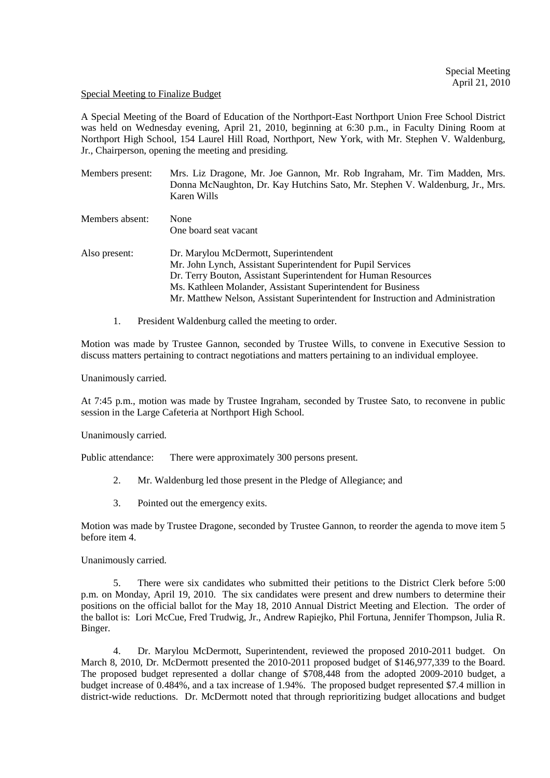## Special Meeting to Finalize Budget

A Special Meeting of the Board of Education of the Northport-East Northport Union Free School District was held on Wednesday evening, April 21, 2010, beginning at 6:30 p.m., in Faculty Dining Room at Northport High School, 154 Laurel Hill Road, Northport, New York, with Mr. Stephen V. Waldenburg, Jr., Chairperson, opening the meeting and presiding.

| Members present: | Mrs. Liz Dragone, Mr. Joe Gannon, Mr. Rob Ingraham, Mr. Tim Madden, Mrs.<br>Donna McNaughton, Dr. Kay Hutchins Sato, Mr. Stephen V. Waldenburg, Jr., Mrs.<br>Karen Wills |
|------------------|--------------------------------------------------------------------------------------------------------------------------------------------------------------------------|
| Members absent:  | None                                                                                                                                                                     |
|                  | One board seat vacant                                                                                                                                                    |
| Also present:    | Dr. Marylou McDermott, Superintendent                                                                                                                                    |
|                  | Mr. John Lynch, Assistant Superintendent for Pupil Services                                                                                                              |
|                  | Dr. Terry Bouton, Assistant Superintendent for Human Resources                                                                                                           |
|                  | Ms. Kathleen Molander, Assistant Superintendent for Business                                                                                                             |
|                  | Mr. Matthew Nelson, Assistant Superintendent for Instruction and Administration                                                                                          |
|                  |                                                                                                                                                                          |

1. President Waldenburg called the meeting to order.

Motion was made by Trustee Gannon, seconded by Trustee Wills, to convene in Executive Session to discuss matters pertaining to contract negotiations and matters pertaining to an individual employee.

Unanimously carried.

At 7:45 p.m., motion was made by Trustee Ingraham, seconded by Trustee Sato, to reconvene in public session in the Large Cafeteria at Northport High School.

Unanimously carried.

Public attendance: There were approximately 300 persons present.

- 2. Mr. Waldenburg led those present in the Pledge of Allegiance; and
- 3. Pointed out the emergency exits.

Motion was made by Trustee Dragone, seconded by Trustee Gannon, to reorder the agenda to move item 5 before item 4.

Unanimously carried.

5. There were six candidates who submitted their petitions to the District Clerk before 5:00 p.m. on Monday, April 19, 2010. The six candidates were present and drew numbers to determine their positions on the official ballot for the May 18, 2010 Annual District Meeting and Election. The order of the ballot is: Lori McCue, Fred Trudwig, Jr., Andrew Rapiejko, Phil Fortuna, Jennifer Thompson, Julia R. Binger.

4. Dr. Marylou McDermott, Superintendent, reviewed the proposed 2010-2011 budget. On March 8, 2010, Dr. McDermott presented the 2010-2011 proposed budget of \$146,977,339 to the Board. The proposed budget represented a dollar change of \$708,448 from the adopted 2009-2010 budget, a budget increase of 0.484%, and a tax increase of 1.94%. The proposed budget represented \$7.4 million in district-wide reductions. Dr. McDermott noted that through reprioritizing budget allocations and budget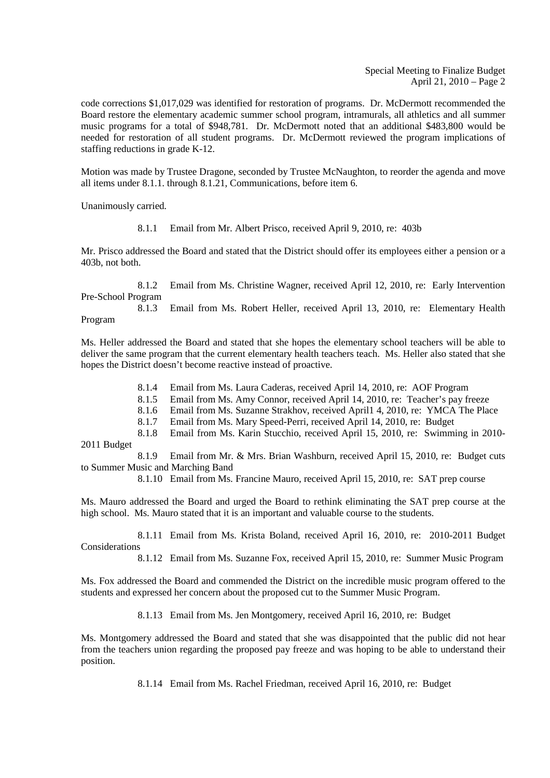Special Meeting to Finalize Budget April 21, 2010 – Page 2

code corrections \$1,017,029 was identified for restoration of programs. Dr. McDermott recommended the Board restore the elementary academic summer school program, intramurals, all athletics and all summer music programs for a total of \$948,781. Dr. McDermott noted that an additional \$483,800 would be needed for restoration of all student programs. Dr. McDermott reviewed the program implications of staffing reductions in grade K-12.

Motion was made by Trustee Dragone, seconded by Trustee McNaughton, to reorder the agenda and move all items under 8.1.1. through 8.1.21, Communications, before item 6.

Unanimously carried.

8.1.1 Email from Mr. Albert Prisco, received April 9, 2010, re: 403b

Mr. Prisco addressed the Board and stated that the District should offer its employees either a pension or a 403b, not both.

 8.1.2 Email from Ms. Christine Wagner, received April 12, 2010, re: Early Intervention Pre-School Program

 8.1.3 Email from Ms. Robert Heller, received April 13, 2010, re: Elementary Health Program

Ms. Heller addressed the Board and stated that she hopes the elementary school teachers will be able to deliver the same program that the current elementary health teachers teach. Ms. Heller also stated that she hopes the District doesn't become reactive instead of proactive.

8.1.4 Email from Ms. Laura Caderas, received April 14, 2010, re: AOF Program

8.1.5 Email from Ms. Amy Connor, received April 14, 2010, re: Teacher's pay freeze

8.1.6 Email from Ms. Suzanne Strakhov, received April1 4, 2010, re: YMCA The Place

8.1.7 Email from Ms. Mary Speed-Perri, received April 14, 2010, re: Budget

 8.1.8 Email from Ms. Karin Stucchio, received April 15, 2010, re: Swimming in 2010- 2011 Budget

 8.1.9 Email from Mr. & Mrs. Brian Washburn, received April 15, 2010, re: Budget cuts to Summer Music and Marching Band

8.1.10 Email from Ms. Francine Mauro, received April 15, 2010, re: SAT prep course

Ms. Mauro addressed the Board and urged the Board to rethink eliminating the SAT prep course at the high school. Ms. Mauro stated that it is an important and valuable course to the students.

 8.1.11 Email from Ms. Krista Boland, received April 16, 2010, re: 2010-2011 Budget Considerations

8.1.12 Email from Ms. Suzanne Fox, received April 15, 2010, re: Summer Music Program

Ms. Fox addressed the Board and commended the District on the incredible music program offered to the students and expressed her concern about the proposed cut to the Summer Music Program.

8.1.13 Email from Ms. Jen Montgomery, received April 16, 2010, re: Budget

Ms. Montgomery addressed the Board and stated that she was disappointed that the public did not hear from the teachers union regarding the proposed pay freeze and was hoping to be able to understand their position.

8.1.14 Email from Ms. Rachel Friedman, received April 16, 2010, re: Budget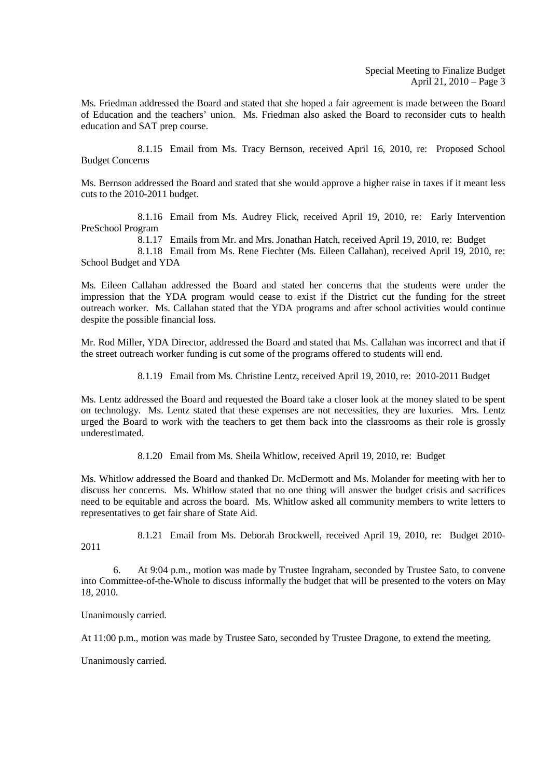Ms. Friedman addressed the Board and stated that she hoped a fair agreement is made between the Board of Education and the teachers' union. Ms. Friedman also asked the Board to reconsider cuts to health education and SAT prep course.

 8.1.15 Email from Ms. Tracy Bernson, received April 16, 2010, re: Proposed School Budget Concerns

Ms. Bernson addressed the Board and stated that she would approve a higher raise in taxes if it meant less cuts to the 2010-2011 budget.

 8.1.16 Email from Ms. Audrey Flick, received April 19, 2010, re: Early Intervention PreSchool Program

8.1.17 Emails from Mr. and Mrs. Jonathan Hatch, received April 19, 2010, re: Budget

 8.1.18 Email from Ms. Rene Fiechter (Ms. Eileen Callahan), received April 19, 2010, re: School Budget and YDA

Ms. Eileen Callahan addressed the Board and stated her concerns that the students were under the impression that the YDA program would cease to exist if the District cut the funding for the street outreach worker. Ms. Callahan stated that the YDA programs and after school activities would continue despite the possible financial loss.

Mr. Rod Miller, YDA Director, addressed the Board and stated that Ms. Callahan was incorrect and that if the street outreach worker funding is cut some of the programs offered to students will end.

8.1.19 Email from Ms. Christine Lentz, received April 19, 2010, re: 2010-2011 Budget

Ms. Lentz addressed the Board and requested the Board take a closer look at the money slated to be spent on technology. Ms. Lentz stated that these expenses are not necessities, they are luxuries. Mrs. Lentz urged the Board to work with the teachers to get them back into the classrooms as their role is grossly underestimated.

8.1.20 Email from Ms. Sheila Whitlow, received April 19, 2010, re: Budget

Ms. Whitlow addressed the Board and thanked Dr. McDermott and Ms. Molander for meeting with her to discuss her concerns. Ms. Whitlow stated that no one thing will answer the budget crisis and sacrifices need to be equitable and across the board. Ms. Whitlow asked all community members to write letters to representatives to get fair share of State Aid.

 8.1.21 Email from Ms. Deborah Brockwell, received April 19, 2010, re: Budget 2010- 2011

6. At 9:04 p.m., motion was made by Trustee Ingraham, seconded by Trustee Sato, to convene into Committee-of-the-Whole to discuss informally the budget that will be presented to the voters on May 18, 2010.

Unanimously carried.

At 11:00 p.m., motion was made by Trustee Sato, seconded by Trustee Dragone, to extend the meeting.

Unanimously carried.